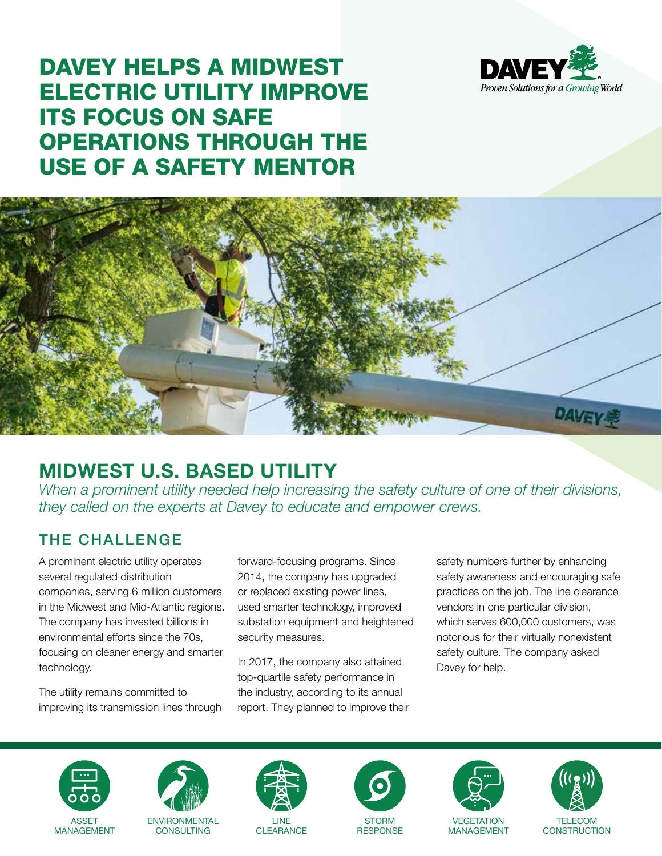

# DAVEY HELPS A MIDWEST ELECTRIC UTILITY IMPROVE ITS FOCUS ON SAFE OPERATIONS THROUGH THE USE OF A SAFETY MENTOR



## **MIDWEST U.S. BASED UTILITY**

*When a prominent utility needed help increasing the safety culture of one of their divisions, they called on the experts at Davey to educate and empower crews.*

### THE CHALLENGE

A prominent electric utility operates several regulated distribution companies, serving 6 million customers in the Midwest and Mid-Atlantic regions. The company has invested billions in environmental efforts since the 70s, focusing on cleaner energy and smarter technology.

The utility remains committed to improving its transmission lines through forward-focusing programs. Since 2014, the company has upgraded or replaced existing power lines, used smarter technology, improved substation equipment and heightened security measures.

In 2017, the company also attained top-quartile safety performance in the industry, according to its annual report. They planned to improve their safety numbers further by enhancing safety awareness and encouraging safe practices on the job. The line clearance vendors in one particular division, which serves 600,000 customers, was notorious for their virtually nonexistent safety culture. The company asked Davey for help.